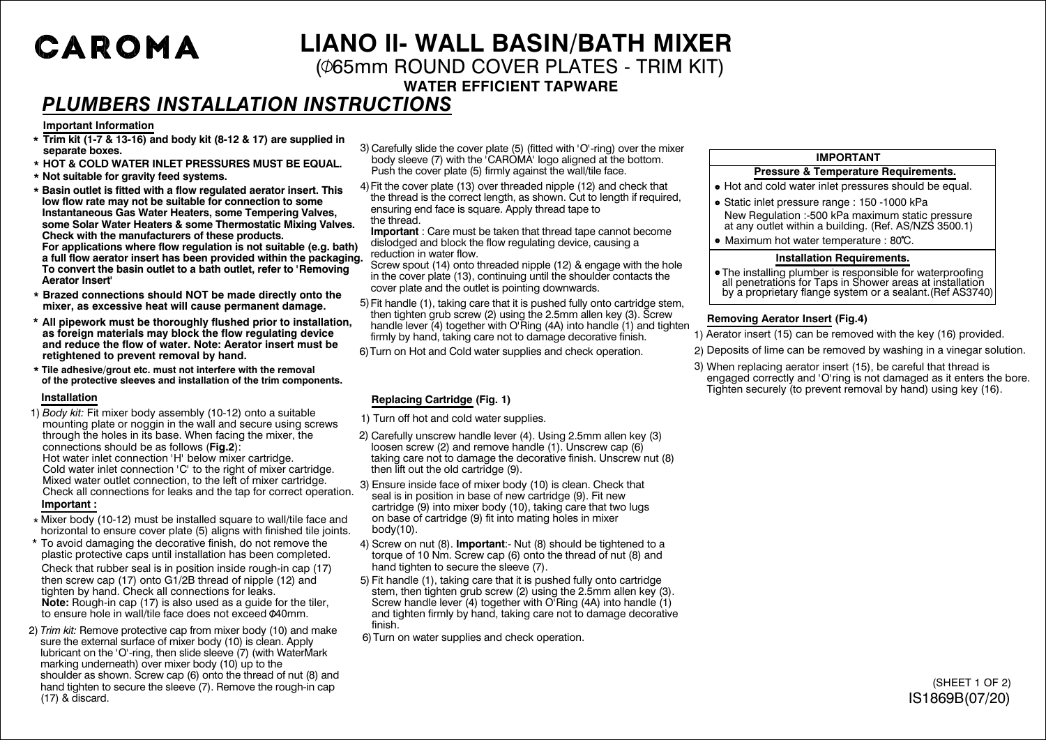# CAROMA

## **LIANO ll- WALL BASIN/BATH MIXER**

( $\phi$ 65mm ROUND COVER PLATES - TRIM KIT)

**WATER EFFICIENT TAPWARE**

### *PLUMBERS INSTALLATION INSTRUCTIONS*

#### **Important Information**

- **Trim kit (1-7 & 13-16) and body kit (8-12 & 17) are supplied in \* separate boxes.**
- **\* HOT & COLD WATER INLET PRESSURES MUST BE EQUAL.**
- **\* Not suitable for gravity feed systems.**
- **\* Basin outlet is fitted with a flow regulated aerator insert. This low flow rate may not be suitable for connection to some Instantaneous Gas Water Heaters, some Tempering Valves, some Solar Water Heaters & some Thermostatic Mixing Valves. Check with the manufacturers of these products. For applications where flow regulation is not suitable (e.g. bath) a full flow aerator insert has been provided within the packaging. To convert the basin outlet to a bath outlet, refer to 'Removing Aerator Insert'**
- **\* Brazed connections should NOT be made directly onto the mixer, as excessive heat will cause permanent damage.**
- **\* All pipework must be thoroughly flushed prior to installation, as foreign materials may block the flow regulating device and reduce the flow of water. Note: Aerator insert must be retightened to prevent removal by hand.**
- **Tile adhesive/grout etc. must not interfere with the removal \* of the protective sleeves and installation of the trim components.**

#### **Installation**

- 1) *Body kit:* Fit mixer body assembly (10-12) onto a suitable mounting plate or noggin in the wall and secure using screws through the holes in its base. When facing the mixer, the connections should be as follows (**Fig.2**): Hot water inlet connection 'H' below mixer cartridge. Cold water inlet connection 'C' to the right of mixer cartridge. Mixed water outlet connection, to the left of mixer cartridge. Check all connections for leaks and the tap for correct operation. **Important :**
- \* Mixer body (10-12) must be installed square to wall/tile face and horizontal to ensure cover plate (5) aligns with finished tile joints.
- \* To avoid damaging the decorative finish, do not remove the plastic protective caps until installation has been completed.

Check that rubber seal is in position inside rough-in cap (17) then screw cap (17) onto G1/2B thread of nipple (12) and tighten by hand. Check all connections for leaks. **Note:** Rough-in cap (17) is also used as a guide for the tiler, to ensure hole in wall/tile face does not exceed 040mm.

2) *Trim kit:* Remove protective cap from mixer body (10) and make sure the external surface of mixer body (10) is clean. Apply lubricant on the 'O'-ring, then slide sleeve (7) (with WaterMark marking underneath) over mixer body  $(10)$  up to the shoulder as shown. Screw cap (6) onto the thread of nut (8) and hand tighten to secure the sleeve (7). Remove the rough-in cap (17) & discard.

3) Carefully slide the cover plate (5) (fitted with 'O'-ring) over the mixer body sleeve (7) with the 'CAROMA' logo aligned at the bottom. Push the cover plate (5) firmly against the wall/tile face.

Fit the cover plate (13) over threaded nipple (12) and check that 4) the thread is the correct length, as shown. Cut to length if required, ensuring end face is square. Apply thread tape to the thread.

**Important** : Care must be taken that thread tape cannot become dislodged and block the flow regulating device, causing a reduction in water flow.

Screw spout (14) onto threaded nipple (12) & engage with the hole in the cover plate (13), continuing until the shoulder contacts the cover plate and the outlet is pointing downwards.

5) Fit handle (1), taking care that it is pushed fully onto cartridge stem, then tighten grub screw (2) using the 2.5mm allen key (3). Screw handle lever (4) together with O'Ring (4A) into handle (1) and tighten firmly by hand, taking care not to damage decorative finish.

Turn on Hot and Cold water supplies and check operation. 6)

### **Replacing Cartridge (Fig. 1)**

- 1) Turn off hot and cold water supplies.
- 2) Carefully unscrew handle lever (4). Using 2.5mm allen key (3) loosen screw (2) and remove handle (1). Unscrew cap (6) taking care not to damage the decorative finish. Unscrew nut (8) then lift out the old cartridge (9).

3) Ensure inside face of mixer body (10) is clean. Check that seal is in position in base of new cartridge (9). Fit new cartridge (9) into mixer body (10), taking care that two lugs on base of cartridge (9) fit into mating holes in mixer body(10).

- 4) Screw on nut (8). **Important**:- Nut (8) should be tightened to a torque of 10 Nm. Screw cap (6) onto the thread of nut (8) and hand tighten to secure the sleeve (7).
- 5) Fit handle (1), taking care that it is pushed fully onto cartridge stem, then tighten grub screw (2) using the 2.5mm allen key (3). Screw handle lever (4) together with O'Ring (4A) into handle (1) and tighten firmly by hand, taking care not to damage decorative finish.
- 6)Turn on water supplies and check operation.

### **IMPORTANT**

#### **Pressure & Temperature Requirements.**

- Hot and cold water inlet pressures should be equal.
- New Regulation :-500 kPa maximum static pressure at any outlet within a building. (Ref. AS/NZS 3500.1) • Static inlet pressure range : 150 -1000 kPa
- Maximum hot water temperature : 80°C.

#### **Installation Requirements.**

• The installing plumber is responsible for waterproofing all penetrations for Taps in Shower areas at installation by a proprietary flange system or a sealant.(Ref AS3740)

#### **Removing Aerator Insert (Fig.4)**

- 1) Aerator insert (15) can be removed with the key (16) provided.
- 2) Deposits of lime can be removed by washing in a vinegar solution.
- 3) When replacing aerator insert (15), be careful that thread is engaged correctly and 'O'ring is not damaged as it enters the bore. Tighten securely (to prevent removal by hand) using key (16).